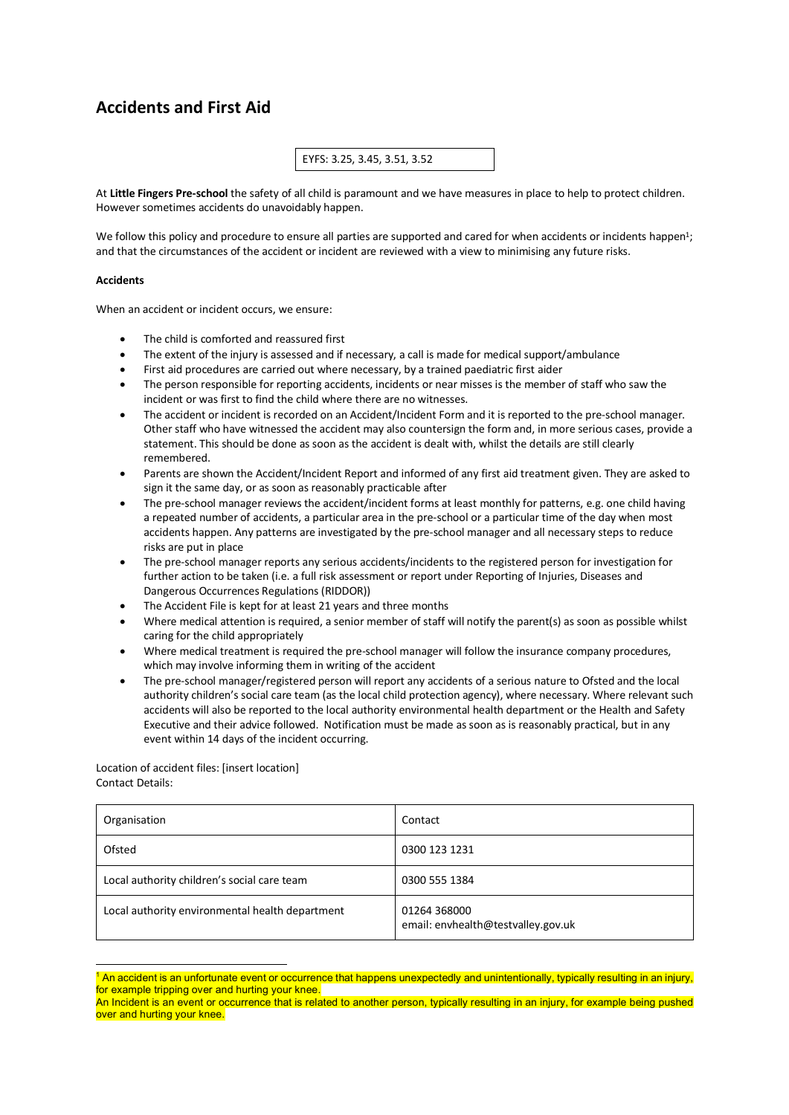# **Accidents and First Aid**

## EYFS: 3.25, 3.45, 3.51, 3.52

At **Little Fingers Pre-school** the safety of all child is paramount and we have measures in place to help to protect children. However sometimes accidents do unavoidably happen.

We follow this policy and procedure to ensure all parties are supported and cared for when accidents or incidents happen<sup>1</sup>; and that the circumstances of the accident or incident are reviewed with a view to minimising any future risks.

#### **Accidents**

When an accident or incident occurs, we ensure:

- The child is comforted and reassured first
- The extent of the injury is assessed and if necessary, a call is made for medical support/ambulance
- First aid procedures are carried out where necessary, by a trained paediatric first aider
- The person responsible for reporting accidents, incidents or near misses is the member of staff who saw the incident or was first to find the child where there are no witnesses.
- The accident or incident is recorded on an Accident/Incident Form and it is reported to the pre-school manager. Other staff who have witnessed the accident may also countersign the form and, in more serious cases, provide a statement. This should be done as soon as the accident is dealt with, whilst the details are still clearly remembered.
- Parents are shown the Accident/Incident Report and informed of any first aid treatment given. They are asked to sign it the same day, or as soon as reasonably practicable after
- The pre-school manager reviews the accident/incident forms at least monthly for patterns, e.g. one child having a repeated number of accidents, a particular area in the pre-school or a particular time of the day when most accidents happen. Any patterns are investigated by the pre-school manager and all necessary steps to reduce risks are put in place
- The pre-school manager reports any serious accidents/incidents to the registered person for investigation for further action to be taken (i.e. a full risk assessment or report under Reporting of Injuries, Diseases and Dangerous Occurrences Regulations (RIDDOR))
- The Accident File is kept for at least 21 years and three months
- Where medical attention is required, a senior member of staff will notify the parent(s) as soon as possible whilst caring for the child appropriately
- Where medical treatment is required the pre-school manager will follow the insurance company procedures, which may involve informing them in writing of the accident
- The pre-school manager/registered person will report any accidents of a serious nature to Ofsted and the local authority children's social care team (as the local child protection agency), where necessary. Where relevant such accidents will also be reported to the local authority environmental health department or the Health and Safety Executive and their advice followed. Notification must be made as soon as is reasonably practical, but in any event within 14 days of the incident occurring.

## Location of accident files: [insert location] Contact Details:

| Organisation                                    | Contact                                            |  |
|-------------------------------------------------|----------------------------------------------------|--|
| Ofsted                                          | 0300 123 1231                                      |  |
| Local authority children's social care team     | 0300 555 1384                                      |  |
| Local authority environmental health department | 01264 368000<br>email: envhealth@testvalley.gov.uk |  |

<sup>&</sup>lt;sup>1</sup> An accident is an unfortunate event or occurrence that happens unexpectedly and unintentionally, typically resulting in an injury, for example tripping over and hurting your knee.

An Incident is an event or occurrence that is related to another person, typically resulting in an injury, for example being pushed over and hurting your knee.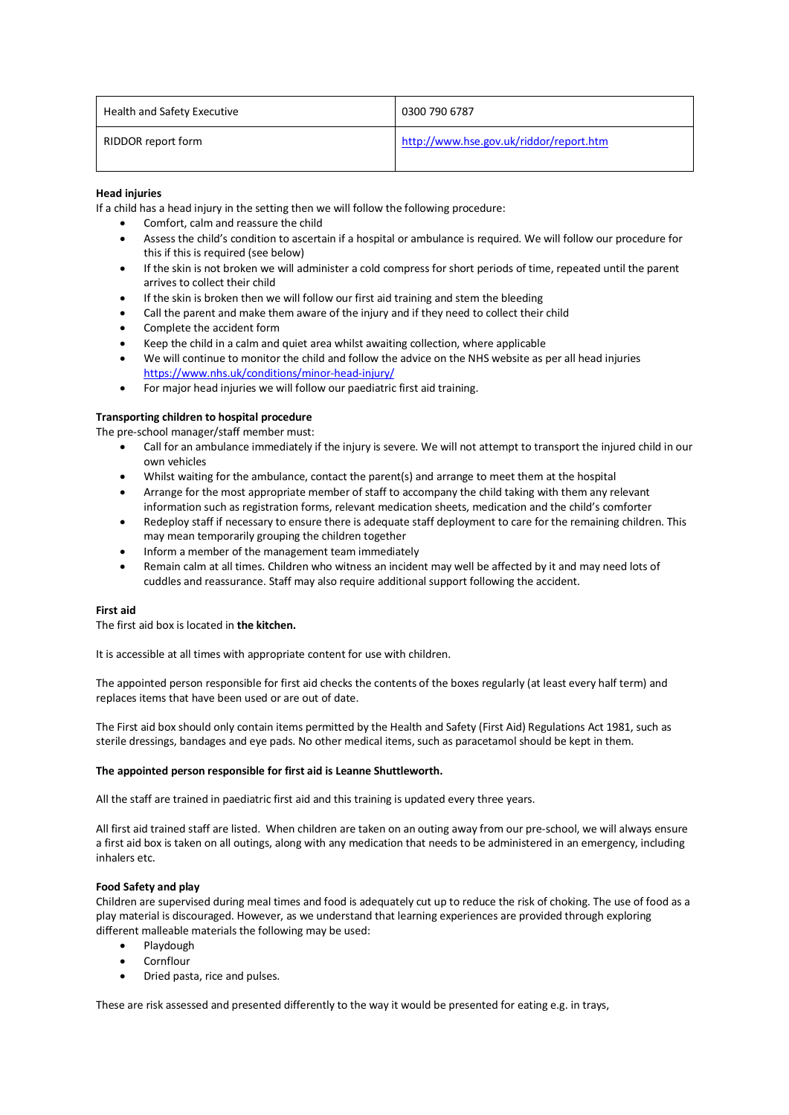| Health and Safety Executive | 0300 790 6787                           |  |
|-----------------------------|-----------------------------------------|--|
| RIDDOR report form          | http://www.hse.gov.uk/riddor/report.htm |  |

# **Head injuries**

If a child has a head injury in the setting then we will follow the following procedure:

- Comfort, calm and reassure the child
- Assess the child's condition to ascertain if a hospital or ambulance is required. We will follow our procedure for this if this is required (see below)
- If the skin is not broken we will administer a cold compress for short periods of time, repeated until the parent arrives to collect their child
- If the skin is broken then we will follow our first aid training and stem the bleeding
- Call the parent and make them aware of the injury and if they need to collect their child
- Complete the accident form
- Keep the child in a calm and quiet area whilst awaiting collection, where applicable
- We will continue to monitor the child and follow the advice on the NHS website as per all head injuries https://www.nhs.uk/conditions/minor-head-injury/
- For major head injuries we will follow our paediatric first aid training.

# **Transporting children to hospital procedure**

The pre-school manager/staff member must:

- Call for an ambulance immediately if the injury is severe. We will not attempt to transport the injured child in our own vehicles
- Whilst waiting for the ambulance, contact the parent(s) and arrange to meet them at the hospital
- Arrange for the most appropriate member of staff to accompany the child taking with them any relevant information such as registration forms, relevant medication sheets, medication and the child's comforter
- Redeploy staff if necessary to ensure there is adequate staff deployment to care for the remaining children. This may mean temporarily grouping the children together
- Inform a member of the management team immediately
- Remain calm at all times. Children who witness an incident may well be affected by it and may need lots of cuddles and reassurance. Staff may also require additional support following the accident.

## **First aid**

The first aid box is located in **the kitchen.**

It is accessible at all times with appropriate content for use with children.

The appointed person responsible for first aid checks the contents of the boxes regularly (at least every half term) and replaces items that have been used or are out of date.

The First aid box should only contain items permitted by the Health and Safety (First Aid) Regulations Act 1981, such as sterile dressings, bandages and eye pads. No other medical items, such as paracetamol should be kept in them.

## **The appointed person responsible for first aid is Leanne Shuttleworth.**

All the staff are trained in paediatric first aid and this training is updated every three years.

All first aid trained staff are listed. When children are taken on an outing away from our pre-school, we will always ensure a first aid box is taken on all outings, along with any medication that needs to be administered in an emergency, including inhalers etc.

## **Food Safety and play**

Children are supervised during meal times and food is adequately cut up to reduce the risk of choking. The use of food as a play material is discouraged. However, as we understand that learning experiences are provided through exploring different malleable materials the following may be used:

- Playdough
- Cornflour
- Dried pasta, rice and pulses.

These are risk assessed and presented differently to the way it would be presented for eating e.g. in trays,